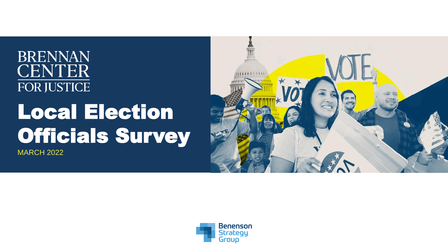# **BRENNAN CENTER FOR JUSTICE** Local Election Officials Survey MARCH 2022



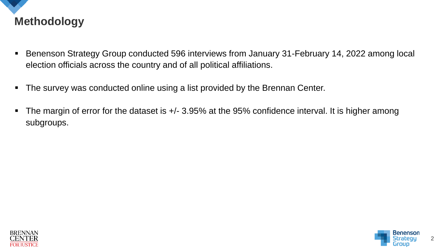

- Benenson Strategy Group conducted 596 interviews from January 31-February 14, 2022 among local election officials across the country and of all political affiliations.
- The survey was conducted online using a list provided by the Brennan Center.
- The margin of error for the dataset is  $+/-$  3.95% at the 95% confidence interval. It is higher among subgroups.



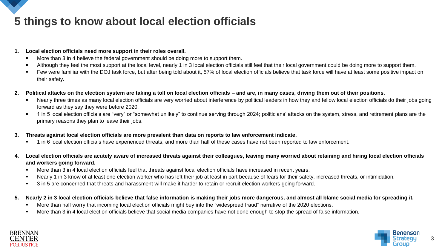## **5 things to know about local election officials**

#### **1. Local election officials need more support in their roles overall.**

- **■** More than 3 in 4 believe the federal government should be doing more to support them.
- Although they feel the most support at the local level, nearly 1 in 3 local election officials still feel that their local government could be doing more to support them.
- Few were familiar with the DOJ task force, but after being told about it, 57% of local election officials believe that task force will have at least some positive impact on their safety.
- **2. Political attacks on the election system are taking a toll on local election officials – and are, in many cases, driving them out of their positions.**
	- Nearly three times as many local election officials are very worried about interference by political leaders in how they and fellow local election officials do their jobs going forward as they say they were before 2020.
	- 1 in 5 local election officials are "very" or "somewhat unlikely" to continue serving through 2024; politicians' attacks on the system, stress, and retirement plans are the primary reasons they plan to leave their jobs.
- **3. Threats against local election officials are more prevalent than data on reports to law enforcement indicate.**
	- 1 in 6 local election officials have experienced threats, and more than half of these cases have not been reported to law enforcement.
- **4. Local election officials are acutely aware of increased threats against their colleagues, leaving many worried about retaining and hiring local election officials and workers going forward.**
	- More than 3 in 4 local election officials feel that threats against local election officials have increased in recent years.
	- Nearly 1 in 3 know of at least one election worker who has left their job at least in part because of fears for their safety, increased threats, or intimidation.
	- 3 in 5 are concerned that threats and harassment will make it harder to retain or recruit election workers going forward.
- **5. Nearly 2 in 3 local election officials believe that false information is making their jobs more dangerous, and almost all blame social media for spreading it.**
	- More than half worry that incoming local election officials might buy into the "widespread fraud" narrative of the 2020 elections.
	- More than 3 in 4 local election officials believe that social media companies have not done enough to stop the spread of false information.



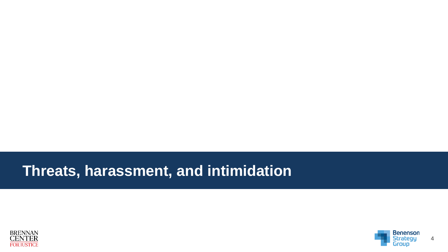# **Threats, harassment, and intimidation**



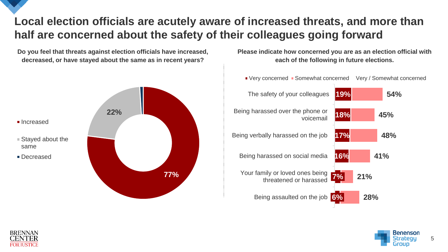### **Local election officials are acutely aware of increased threats, and more than half are concerned about the safety of their colleagues going forward**

**Do you feel that threats against election officials have increased, decreased, or have stayed about the same as in recent years?**



**Please indicate how concerned you are as an election official with each of the following in future elections.**





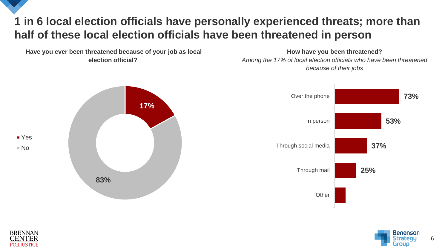#### **1 in 6 local election officials have personally experienced threats; more than half of these local election officials have been threatened in person**

**Have you ever been threatened because of your job as local election official?**



**How have you been threatened?** *Among the 17% of local election officials who have been threatened because of their jobs*





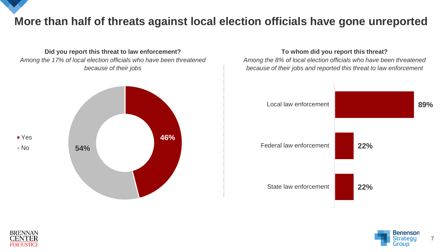## **More than half of threats against local election officials have gone unreported**

**Did you report this threat to law enforcement?** *Among the 17% of local election officials who have been threatened because of their jobs*



**To whom did you report this threat?** *Among the 8% of local election officials who have been threatened because of their jobs and reported this threat to law enforcement*





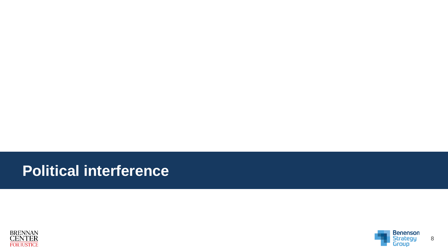# **Political interference**



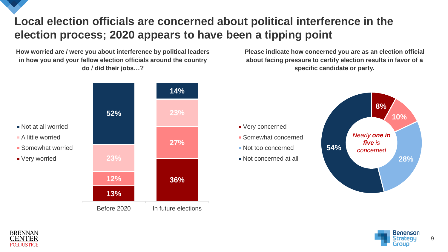### **Local election officials are concerned about political interference in the election process; 2020 appears to have been a tipping point**

**How worried are / were you about interference by political leaders in how you and your fellow election officials around the country do / did their jobs…?**

**13% 12% 36% 27% 23% 52% 23% 14%** Before 2020 In future elections Somewhat worried

**Please indicate how concerned you are as an election official about facing pressure to certify election results in favor of a specific candidate or party.**







Not at all worried A little worried

■ Very worried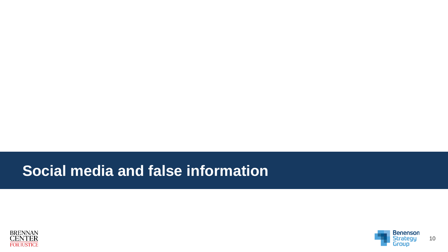# **Social media and false information**



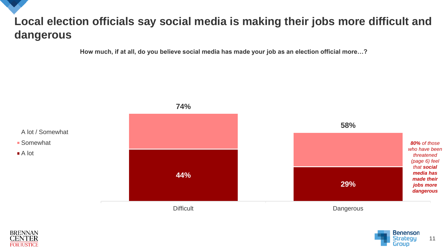## **Local election officials say social media is making their jobs more difficult and dangerous**

**How much, if at all, do you believe social media has made your job as an election official more…?**





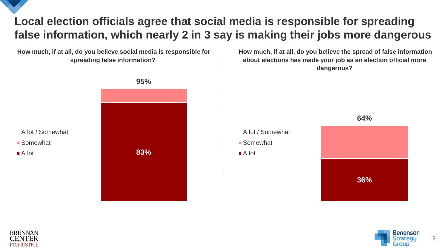### **Local election officials agree that social media is responsible for spreading false information, which nearly 2 in 3 say is making their jobs more dangerous**

**How much, if at all, do you believe social media is responsible for spreading false information?**







**How much, if at all, do you believe the spread of false information about elections has made your job as an election official more**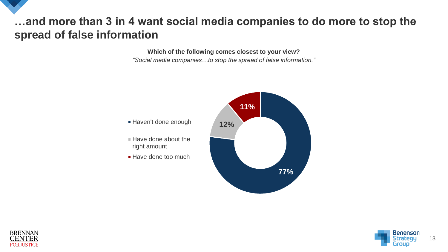#### **…and more than 3 in 4 want social media companies to do more to stop the spread of false information**

**Which of the following comes closest to your view?** *"Social media companies…to stop the spread of false information."*





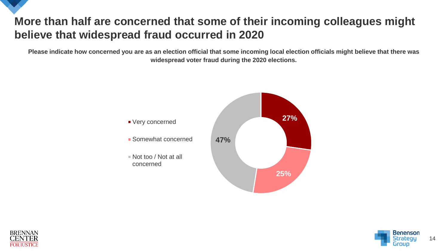## **More than half are concerned that some of their incoming colleagues might believe that widespread fraud occurred in 2020**

**Please indicate how concerned you are as an election official that some incoming local election officials might believe that there was widespread voter fraud during the 2020 elections.**





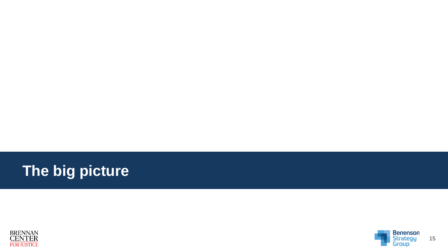



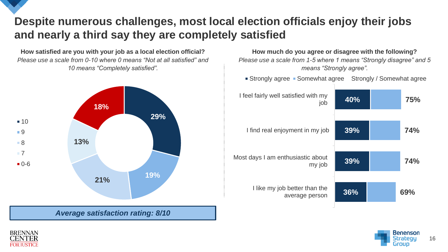#### **Despite numerous challenges, most local election officials enjoy their jobs and nearly a third say they are completely satisfied**

**How satisfied are you with your job as a local election official?**  *Please use a scale from 0-10 where 0 means "Not at all satisfied" and 10 means "Completely satisfied".*



*Average satisfaction rating: 8/10*

**How much do you agree or disagree with the following?**  *Please use a scale from 1-5 where 1 means "Strongly disagree" and 5 means "Strongly agree".*

**Strongly agree • Somewhat agree Strongly / Somewhat agree** 

**40% 39% 39% 36% 75% 74% 74% 69%** I feel fairly well satisfied with my job I find real enjoyment in my job Most days I am enthusiastic about my job I like my job better than the average person



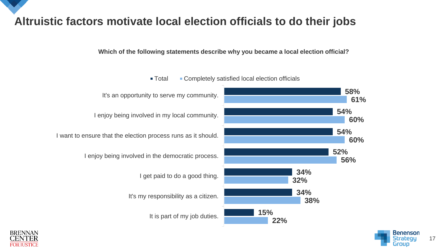**Altruistic factors motivate local election officials to do their jobs**

#### **Which of the following statements describe why you became a local election official?**







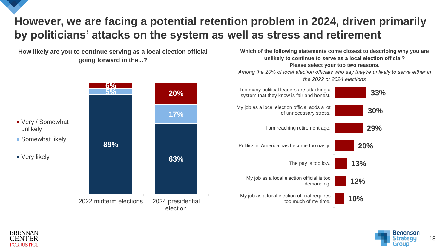### **However, we are facing a potential retention problem in 2024, driven primarily by politicians' attacks on the system as well as stress and retirement**

**How likely are you to continue serving as a local election official going forward in the...?**



**unlikely to continue to serve as a local election official? Please select your top two reasons.** *Among the 20% of local election officials who say they're unlikely to serve either in the 2022 or 2024 elections* **33% 30% 29% 20% 13% 12% 10%** Too many political leaders are attacking a system that they know is fair and honest. My job as a local election official adds a lot of unnecessary stress. I am reaching retirement age. Politics in America has become too nasty. The pay is too low. My job as a local election official is too demanding. My job as a local election official requires too much of my time.

**Which of the following statements come closest to describing why you are** 



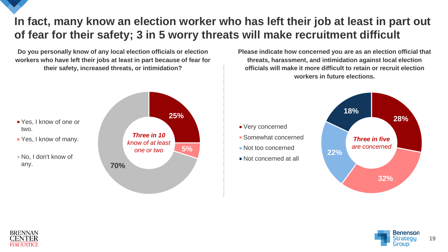#### **In fact, many know an election worker who has left their job at least in part out of fear for their safety; 3 in 5 worry threats will make recruitment difficult**

**Do you personally know of any local election officials or election workers who have left their jobs at least in part because of fear for their safety, increased threats, or intimidation?**



**Please indicate how concerned you are as an election official that threats, harassment, and intimidation against local election officials will make it more difficult to retain or recruit election workers in future elections.**





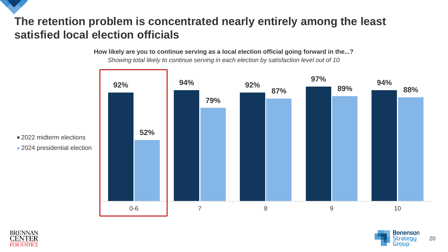#### **The retention problem is concentrated nearly entirely among the least satisfied local election officials**

**How likely are you to continue serving as a local election official going forward in the...?**

*Showing total likely to continue serving in each election by satisfaction level out of 10*



■ 2022 midterm elections **2024** presidential election



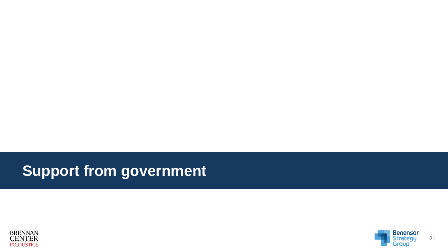# **Support from government**



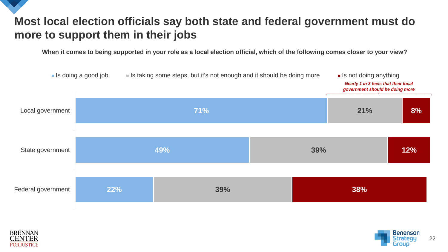## **Most local election officials say both state and federal government must do more to support them in their jobs**

**When it comes to being supported in your role as a local election official, which of the following comes closer to your view?**





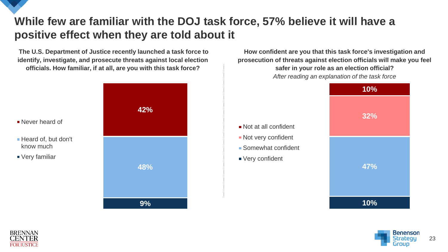#### **While few are familiar with the DOJ task force, 57% believe it will have a positive effect when they are told about it**

Not at all confident **Not very confident** Somewhat confident

Very confident

**The U.S. Department of Justice recently launched a task force to identify, investigate, and prosecute threats against local election officials. How familiar, if at all, are you with this task force?**



**How confident are you that this task force's investigation and prosecution of threats against election officials will make you feel safer in your role as an election official?** *After reading an explanation of the task force*







know much